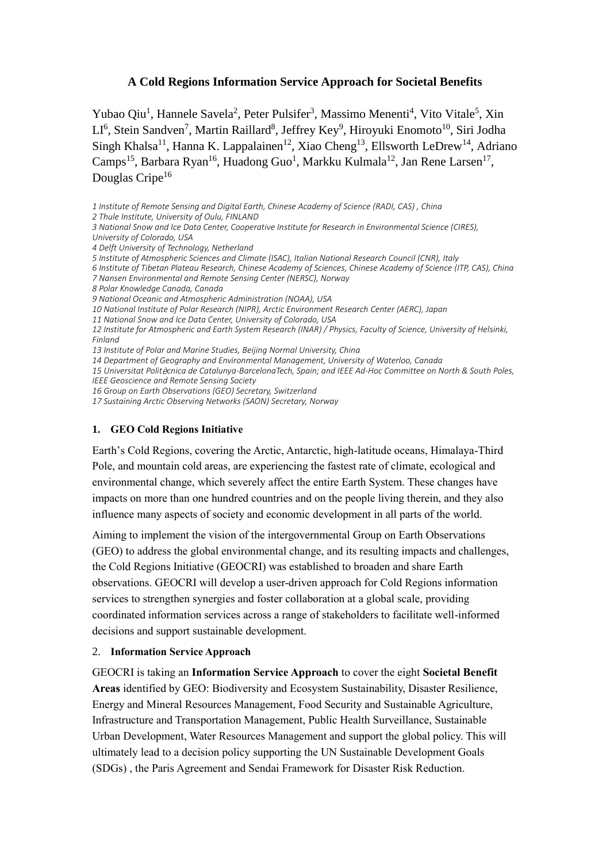## **A Cold Regions Information Service Approach for Societal Benefits**

Yubao Qiu<sup>1</sup>, Hannele Savela<sup>2</sup>, Peter Pulsifer<sup>3</sup>, Massimo Menenti<sup>4</sup>, Vito Vitale<sup>5</sup>, Xin LI<sup>6</sup>, Stein Sandven<sup>7</sup>, Martin Raillard<sup>8</sup>, Jeffrey Key<sup>9</sup>, Hiroyuki Enomoto<sup>10</sup>, Siri Jodha Singh Khalsa<sup>11</sup>, Hanna K. Lappalainen<sup>12</sup>, Xiao Cheng<sup>13</sup>, Ellsworth LeDrew<sup>14</sup>, Adriano Camps<sup>15</sup>, Barbara Ryan<sup>16</sup>, Huadong Guo<sup>1</sup>, Markku Kulmala<sup>12</sup>, Jan Rene Larsen<sup>17</sup>, Douglas Cripe<sup>16</sup>

*1 Institute of Remote Sensing and Digital Earth, Chinese Academy of Science (RADI, CAS) , China 2 Thule Institute, University of Oulu, FINLAND 3 National Snow and Ice Data Center, Cooperative Institute for Research in Environmental Science (CIRES), University of Colorado, USA*

*4 Delft University of Technology, Netherland*

*5 Institute of Atmospheric Sciences and Climate (ISAC), Italian National Research Council (CNR), Italy*

- *6 Institute of Tibetan Plateau Research, Chinese Academy of Sciences, Chinese Academy of Science (ITP, CAS), China*
- *7 Nansen Environmental and Remote Sensing Center (NERSC), Norway*
- *8 Polar Knowledge Canada, Canada*
- *9 National Oceanic and Atmospheric Administration (NOAA), USA*

*10 National Institute of Polar Research (NIPR), Arctic Environment Research Center (AERC), Japan*

*11 National Snow and Ice Data Center, University of Colorado, USA*

*12 Institute for Atmospheric and Earth System Research (INAR) / Physics, Faculty of Science, University of Helsinki, Finland*

*13 Institute of Polar and Marine Studies, Beijing Normal University, China*

*14 Department of Geography and Environmental Management, University of Waterloo, Canada*

*15 Universitat Polit*è*cnica de Catalunya-BarcelonaTech, Spain; and IEEE Ad-Hoc Committee on North & South Poles, IEEE Geoscience and Remote Sensing Society*

*16 Group on Earth Observations (GEO) Secretary, Switzerland*

*17 Sustaining Arctic Observing Networks (SAON) Secretary, Norway*

## **1. GEO Cold Regions Initiative**

Earth's Cold Regions, covering the Arctic, Antarctic, high-latitude oceans, Himalaya-Third Pole, and mountain cold areas, are experiencing the fastest rate of climate, ecological and environmental change, which severely affect the entire Earth System. These changes have impacts on more than one hundred countries and on the people living therein, and they also influence many aspects of society and economic development in all parts of the world.

Aiming to implement the vision of the intergovernmental Group on Earth Observations (GEO) to address the global environmental change, and its resulting impacts and challenges, the Cold Regions Initiative (GEOCRI) was established to broaden and share Earth observations. GEOCRI will develop a user-driven approach for Cold Regions information services to strengthen synergies and foster collaboration at a global scale, providing coordinated information services across a range of stakeholders to facilitate well-informed decisions and support sustainable development.

## 2. **Information Service Approach**

GEOCRI is taking an **Information Service Approach** to cover the eight **Societal Benefit Areas** identified by GEO: Biodiversity and Ecosystem Sustainability, Disaster Resilience, Energy and Mineral Resources Management, Food Security and Sustainable Agriculture, Infrastructure and Transportation Management, Public Health Surveillance, Sustainable Urban Development, Water Resources Management and support the global policy. This will ultimately lead to a decision policy supporting the U[N Sustainable Development Goals](https://www.un.org/sustainabledevelopment/sustainable-development-goals/)  [\(SDGs\)](https://www.un.org/sustainabledevelopment/sustainable-development-goals/) , the Paris Agreement and Sendai Framework for Disaster Risk Reduction.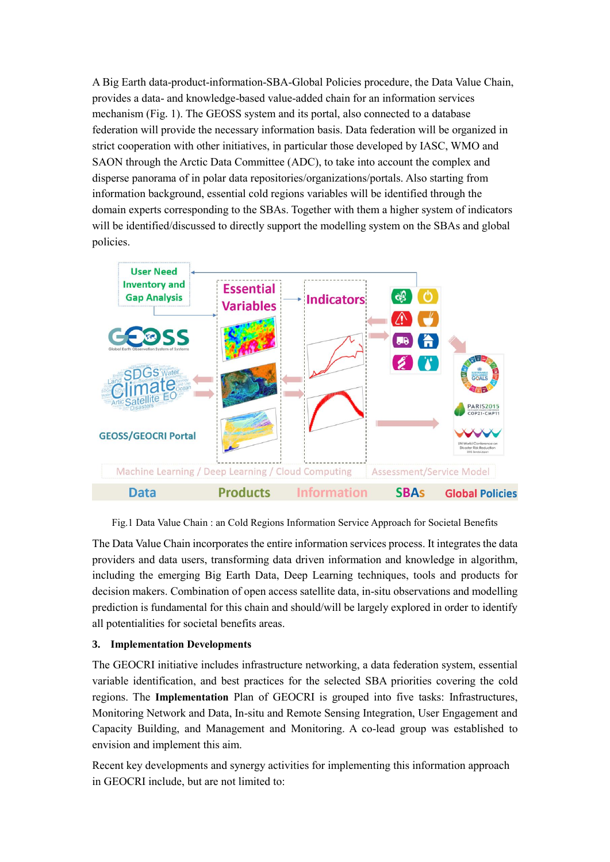A Big Earth data-product-information-SBA-Global Policies procedure, the Data Value Chain, provides a data- and knowledge-based value-added chain for an information services mechanism (Fig.1). The GEOSS system and its portal, also connected to a database federation will provide the necessary information basis. Data federation will be organized in strict cooperation with other initiatives, in particular those developed by IASC, WMO and SAON through the Arctic Data Committee (ADC), to take into account the complex and disperse panorama of in polar data repositories/organizations/portals. Also starting from information background, essential cold regions variables will be identified through the domain experts corresponding to the SBAs. Together with them a higher system of indicators will be identified/discussed to directly support the modelling system on the SBAs and global policies.



Fig.1 Data Value Chain : an Cold Regions Information Service Approach for Societal Benefits

The Data Value Chain incorporates the entire information services process. It integrates the data providers and data users, transforming data driven information and knowledge in algorithm, including the emerging Big Earth Data, Deep Learning techniques, tools and products for decision makers. Combination of open access satellite data, in-situ observations and modelling prediction is fundamental for this chain and should/will be largely explored in order to identify all potentialities for societal benefits areas.

## **3. Implementation Developments**

The GEOCRI initiative includes infrastructure networking, a data federation system, essential variable identification, and best practices for the selected SBA priorities covering the cold regions. The **Implementation** Plan of GEOCRI is grouped into five tasks: Infrastructures, Monitoring Network and Data, In-situ and Remote Sensing Integration, User Engagement and Capacity Building, and Management and Monitoring. A co-lead group was established to envision and implement this aim.

Recent key developments and synergy activities for implementing this information approach in GEOCRI include, but are not limited to: